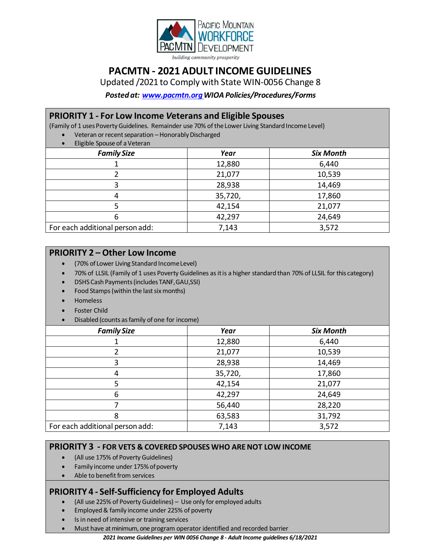

# **PACMTN - 2021 ADULT INCOME GUIDELINES**

Updated /2021 to Comply with State WIN-0056 Change 8

*Posted at: [www.pacmtn.orgW](http://www.pacmtn.org/)IOA Policies/Procedures/Forms*

# **PRIORITY 1 - For Low Income** *V***eterans and Eligible Spouses**

(Family of 1 usesPovertyGuidelines. Remainder use 70% of theLower Living Standard Income Level) Veteran or recent separation – Honorably Discharged

| Eligible Spouse of a Veteran    |         |                  |
|---------------------------------|---------|------------------|
| <b>Family Size</b>              | Year    | <b>Six Month</b> |
|                                 | 12,880  | 6,440            |
|                                 | 21,077  | 10,539           |
|                                 | 28,938  | 14,469           |
| 4                               | 35,720, | 17,860           |
|                                 | 42,154  | 21,077           |
| 6                               | 42,297  | 24,649           |
| For each additional person add: | 7,143   | 3,572            |

# **PRIORITY 2 – Other Low Income**

- (70% of Lower Living Standard IncomeLevel)
- 70% of LLSIL (Family of 1 uses Poverty Guidelines asitis a higher standard than 70% of LLSIL for this category)
- DSHS Cash Payments(includes TANF,GAU,SSI)
- Food Stamps (within the last six months)
- Homeless
- Foster Child
- Disabled (counts asfamily of one for income)

| <b>Family Size</b>              | Year    | <b>Six Month</b> |
|---------------------------------|---------|------------------|
|                                 | 12,880  | 6,440            |
|                                 | 21,077  | 10,539           |
| 3                               | 28,938  | 14,469           |
|                                 | 35,720, | 17,860           |
| 5                               | 42,154  | 21,077           |
| 6                               | 42,297  | 24,649           |
|                                 | 56,440  | 28,220           |
|                                 | 63,583  | 31,792           |
| For each additional person add: | 7,143   | 3,572            |

# **PRIORITY 3 - FOR VETS & COVERED SPOUSES WHO ARENOT LOW INCOME**

- (All use 175% of Poverty Guidelines)
- Family income under 175% of poverty
- Able to benefit from services

# **PRIORITY 4 - Self-Sufficiency for Employed Adults**

- (All use 225% of Poverty Guidelines) Use only for employed adults
- Employed& family income under 225% of poverty
- Is in need of intensive or training services
	- Must have at minimum, one program operator identified and recorded barrier